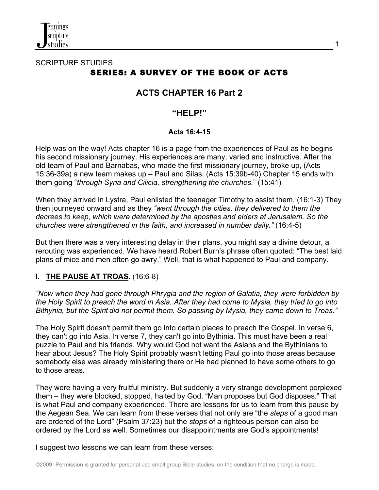

# SCRIPTURE STUDIES SERIES: A SURVEY OF THE BOOK OF ACTS

# **ACTS CHAPTER 16 Part 2**

# **"HELP!"**

#### **Acts 16:4-15**

Help was on the way! Acts chapter 16 is a page from the experiences of Paul as he begins his second missionary journey. His experiences are many, varied and instructive. After the old team of Paul and Barnabas, who made the first missionary journey, broke up, (Acts 15:36-39a) a new team makes up – Paul and Silas. (Acts 15:39b-40) Chapter 15 ends with them going "*through Syria and Cilicia, strengthening the churches.*" (15:41)

When they arrived in Lystra, Paul enlisted the teenager Timothy to assist them. (16:1-3) They then journeyed onward and as they *"went through the cities, they delivered to them the decrees to keep, which were determined by the apostles and elders at Jerusalem. So the churches were strengthened in the faith, and increased in number daily."* (16:4-5)

But then there was a very interesting delay in their plans, you might say a divine detour, a rerouting was experienced. We have heard Robert Burn's phrase often quoted: "The best laid plans of mice and men often go awry." Well, that is what happened to Paul and company.

### **I. THE PAUSE AT TROAS.** (16:6-8)

*"Now when they had gone through Phrygia and the region of Galatia, they were forbidden by the Holy Spirit to preach the word in Asia. After they had come to Mysia, they tried to go into Bithynia, but the Spirit did not permit them. So passing by Mysia, they came down to Troas."* 

The Holy Spirit doesn't permit them go into certain places to preach the Gospel. In verse 6, they can't go into Asia. In verse 7, they can't go into Bythinia. This must have been a real puzzle to Paul and his friends. Why would God not want the Asians and the Bythinians to hear about Jesus? The Holy Spirit probably wasn't letting Paul go into those areas because somebody else was already ministering there or He had planned to have some others to go to those areas.

They were having a very fruitful ministry. But suddenly a very strange development perplexed them – they were blocked, stopped, halted by God. "Man proposes but God disposes." That is what Paul and company experienced. There are lessons for us to learn from this pause by the Aegean Sea. We can learn from these verses that not only are "the *steps* of a good man are ordered of the Lord" (Psalm 37:23) but the *stops* of a righteous person can also be ordered by the Lord as well. Sometimes our disappointments are God's appointments!

I suggest two lessons we can learn from these verses:

1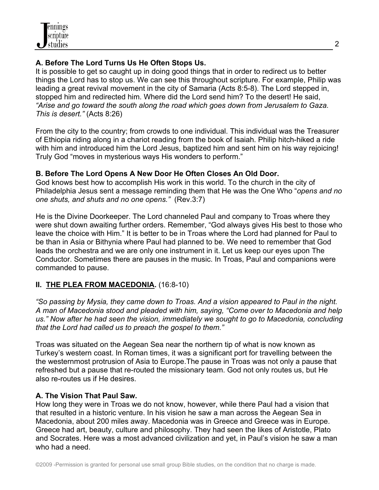# **A. Before The Lord Turns Us He Often Stops Us.**

It is possible to get so caught up in doing good things that in order to redirect us to better things the Lord has to stop us. We can see this throughout scripture. For example, Philip was leading a great revival movement in the city of Samaria (Acts 8:5-8). The Lord stepped in, stopped him and redirected him. Where did the Lord send him? To the desert! He said, *"Arise and go toward the south along the road which goes down from Jerusalem to Gaza. This is desert."* (Acts 8:26)

From the city to the country; from crowds to one individual. This individual was the Treasurer of Ethiopia riding along in a chariot reading from the book of Isaiah. Philip hitch-hiked a ride with him and introduced him the Lord Jesus, baptized him and sent him on his way rejoicing! Truly God "moves in mysterious ways His wonders to perform."

### **B. Before The Lord Opens A New Door He Often Closes An Old Door.**

God knows best how to accomplish His work in this world. To the church in the city of Philadelphia Jesus sent a message reminding them that He was the One Who "*opens and no one shuts, and shuts and no one opens."* (Rev.3:7)

He is the Divine Doorkeeper. The Lord channeled Paul and company to Troas where they were shut down awaiting further orders. Remember, "God always gives His best to those who leave the choice with Him." It is better to be in Troas where the Lord had planned for Paul to be than in Asia or Bithynia where Paul had planned to be. We need to remember that God leads the orchestra and we are only one instrument in it. Let us keep our eyes upon The Conductor. Sometimes there are pauses in the music. In Troas, Paul and companions were commanded to pause.

# **II. THE PLEA FROM MACEDONIA.** (16:8-10)

*"So passing by Mysia, they came down to Troas. And a vision appeared to Paul in the night. A man of Macedonia stood and pleaded with him, saying, "Come over to Macedonia and help us." Now after he had seen the vision, immediately we sought to go to Macedonia, concluding that the Lord had called us to preach the gospel to them."*

Troas was situated on the Aegean Sea near the northern tip of what is now known as Turkey's western coast. In Roman times, it was a significant port for travelling between the the westernmost protrusion of Asia to Europe.The pause in Troas was not only a pause that refreshed but a pause that re-routed the missionary team. God not only routes us, but He also re-routes us if He desires.

# **A. The Vision That Paul Saw.**

How long they were in Troas we do not know, however, while there Paul had a vision that that resulted in a historic venture. In his vision he saw a man across the Aegean Sea in Macedonia, about 200 miles away. Macedonia was in Greece and Greece was in Europe. Greece had art, beauty, culture and philosophy. They had seen the likes of Aristotle, Plato and Socrates. Here was a most advanced civilization and yet, in Paul's vision he saw a man who had a need.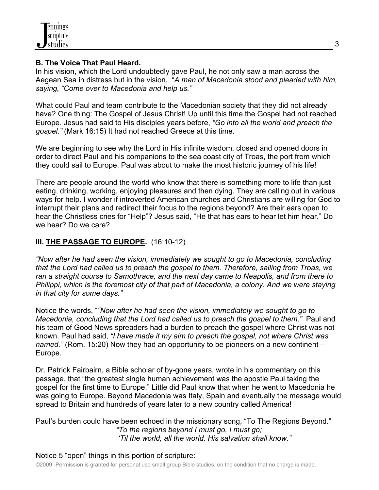

#### **B. The Voice That Paul Heard.**

In his vision, which the Lord undoubtedly gave Paul, he not only saw a man across the Aegean Sea in distress but in the vision, "*A man of Macedonia stood and pleaded with him, saying, "Come over to Macedonia and help us."*

What could Paul and team contribute to the Macedonian society that they did not already have? One thing: The Gospel of Jesus Christ! Up until this time the Gospel had not reached Europe. Jesus had said to His disciples years before, *"Go into all the world and preach the gospel."* (Mark 16:15) It had not reached Greece at this time.

We are beginning to see why the Lord in His infinite wisdom, closed and opened doors in order to direct Paul and his companions to the sea coast city of Troas, the port from which they could sail to Europe. Paul was about to make the most historic journey of his life!

There are people around the world who know that there is something more to life than just eating, drinking, working, enjoying pleasures and then dying. They are calling out in various ways for help. I wonder if introverted American churches and Christians are willing for God to interrupt their plans and redirect their focus to the regions beyond? Are their ears open to hear the Christless cries for "Help"? Jesus said, "He that has ears to hear let him hear." Do we hear? Do we care?

## **III. THE PASSAGE TO EUROPE.** (16:10-12)

*"Now after he had seen the vision, immediately we sought to go to Macedonia, concluding that the Lord had called us to preach the gospel to them. Therefore, sailing from Troas, we ran a straight course to Samothrace, and the next day came to Neapolis, and from there to Philippi, which is the foremost city of that part of Macedonia, a colony. And we were staying in that city for some days."*

Notice the words, "*"Now after he had seen the vision, immediately we sought to go to Macedonia, concluding that the Lord had called us to preach the gospel to them."* Paul and his team of Good News spreaders had a burden to preach the gospel where Christ was not known. Paul had said, *"I have made it my aim to preach the gospel, not where Christ was named."* (Rom. 15:20) Now they had an opportunity to be pioneers on a new continent – Europe.

Dr. Patrick Fairbairn, a Bible scholar of by-gone years, wrote in his commentary on this passage, that "the greatest single human achievement was the apostle Paul taking the gospel for the first time to Europe." Little did Paul know that when he went to Macedonia he was going to Europe. Beyond Macedonia was Italy, Spain and eventually the message would spread to Britain and hundreds of years later to a new country called America!

Paul's burden could have been echoed in the missionary song, "To The Regions Beyond." *"To the regions beyond I must go, I must go; 'Til the world, all the world, His salvation shall know."*

### Notice 5 "open" things in this portion of scripture:

©2009 -Permission is granted for personal use small group Bible studies, on the condition that no charge is made.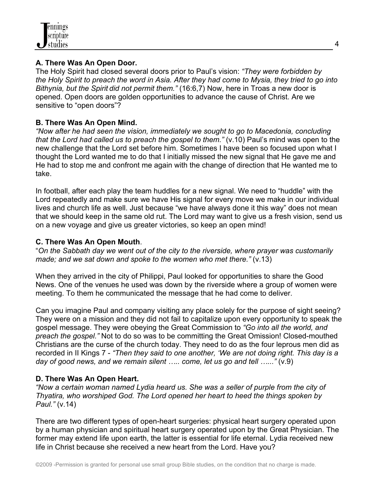### **A. There Was An Open Door.**

The Holy Spirit had closed several doors prior to Paul's vision: *"They were forbidden by the Holy Spirit to preach the word in Asia. After they had come to Mysia, they tried to go into Bithynia, but the Spirit did not permit them."* (16:6,7) Now, here in Troas a new door is opened. Open doors are golden opportunities to advance the cause of Christ. Are we sensitive to "open doors"?

# **B. There Was An Open Mind.**

*"Now after he had seen the vision, immediately we sought to go to Macedonia, concluding that the Lord had called us to preach the gospel to them."* (v.10) Paul's mind was open to the new challenge that the Lord set before him. Sometimes I have been so focused upon what I thought the Lord wanted me to do that I initially missed the new signal that He gave me and He had to stop me and confront me again with the change of direction that He wanted me to take.

In football, after each play the team huddles for a new signal. We need to "huddle" with the Lord repeatedly and make sure we have His signal for every move we make in our individual lives and church life as well. Just because "we have always done it this way" does not mean that we should keep in the same old rut. The Lord may want to give us a fresh vision, send us on a new voyage and give us greater victories, so keep an open mind!

## **C. There Was An Open Mouth**.

"*On the Sabbath day we went out of the city to the riverside, where prayer was customarily made; and we sat down and spoke to the women who met there."* (v.13)

When they arrived in the city of Philippi, Paul looked for opportunities to share the Good News. One of the venues he used was down by the riverside where a group of women were meeting. To them he communicated the message that he had come to deliver.

Can you imagine Paul and company visiting any place solely for the purpose of sight seeing? They were on a mission and they did not fail to capitalize upon every opportunity to speak the gospel message. They were obeying the Great Commission to *"Go into all the world, and preach the gospel."* Not to do so was to be committing the Great Omission! Closed-mouthed Christians are the curse of the church today. They need to do as the four leprous men did as recorded in II Kings 7 - *"Then they said to one another, 'We are not doing right. This day is a day of good news, and we remain silent ….. come, let us go and tell …..."* (v.9)

# **D. There Was An Open Heart.**

*"Now a certain woman named Lydia heard us. She was a seller of purple from the city of Thyatira, who worshiped God. The Lord opened her heart to heed the things spoken by Paul."* (v.14)

There are two different types of open-heart surgeries: physical heart surgery operated upon by a human physician and spiritual heart surgery operated upon by the Great Physician. The former may extend life upon earth, the latter is essential for life eternal. Lydia received new life in Christ because she received a new heart from the Lord. Have you?